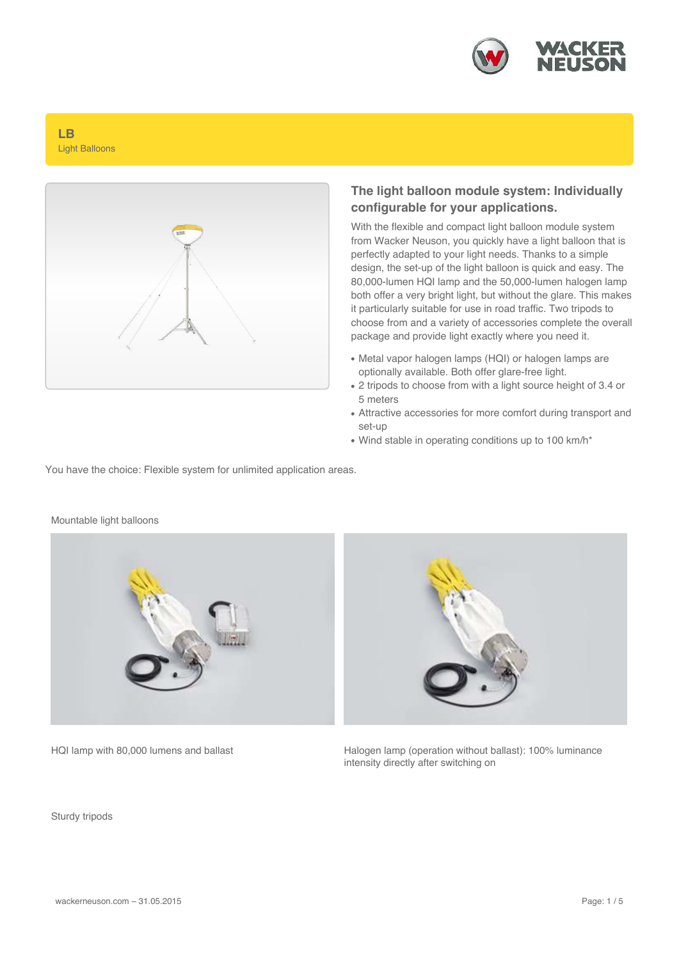

#### **LB** Light Balloons



#### **The light balloon module system: Individually configurable for your applications.**

With the flexible and compact light balloon module system from Wacker Neuson, you quickly have a light balloon that is perfectly adapted to your light needs. Thanks to a simple design, the set-up of the light balloon is quick and easy. The 80,000-lumen HQI lamp and the 50,000-lumen halogen lamp both offer a very bright light, but without the glare. This makes it particularly suitable for use in road traffic. Two tripods to choose from and a variety of accessories complete the overall package and provide light exactly where you need it.

- Metal vapor halogen lamps (HQI) or halogen lamps are optionally available. Both offer glare-free light.
- 2 tripods to choose from with a light source height of 3.4 or 5 meters
- Attractive accessories for more comfort during transport and set-up
- Wind stable in operating conditions up to 100 km/h\*

You have the choice: Flexible system for unlimited application areas.



HQI lamp with 80,000 lumens and ballast Halogen lamp (operation without ballast): 100% luminance intensity directly after switching on

Sturdy tripods

Mountable light balloons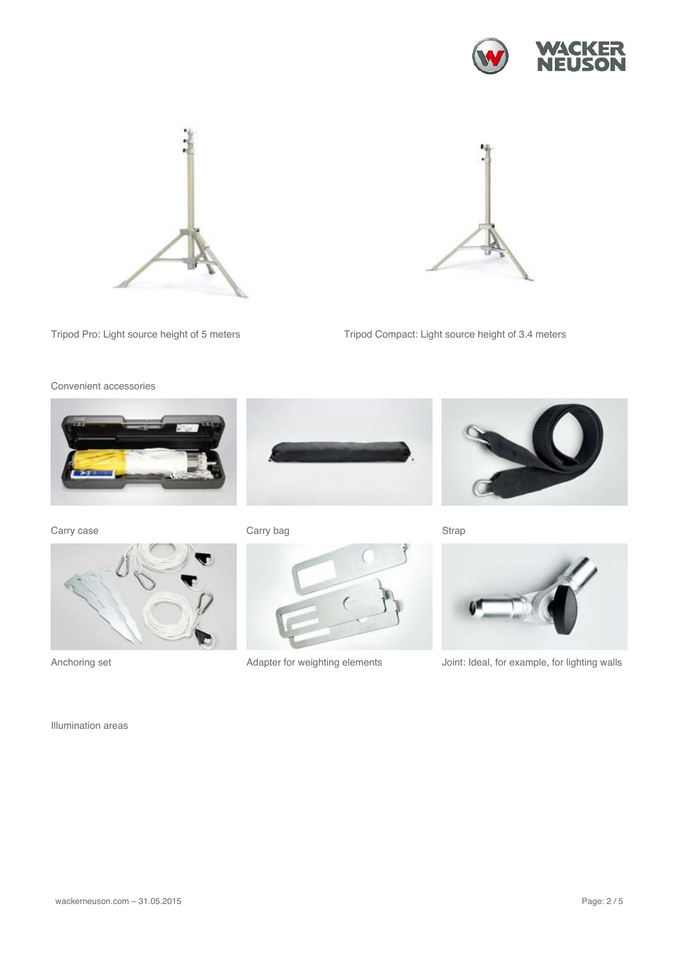





Tripod Pro: Light source height of 5 meters Tripod Compact: Light source height of 3.4 meters

Convenient accessories



Carry case Carry bag Carry bag Strap











Anchoring set **Anchoring set** Adapter for weighting elements Joint: Ideal, for example, for lighting walls

Illumination areas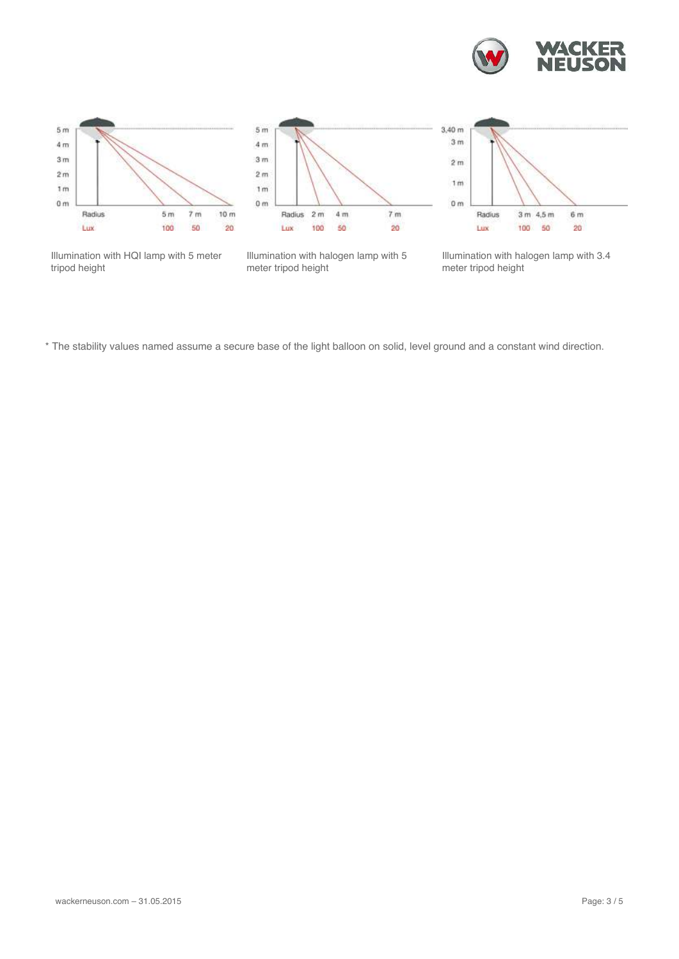







Illumination with HQI lamp with 5 meter tripod height

Illumination with halogen lamp with 5 meter tripod height

Illumination with halogen lamp with 3.4 meter tripod height

\* The stability values named assume a secure base of the light balloon on solid, level ground and a constant wind direction.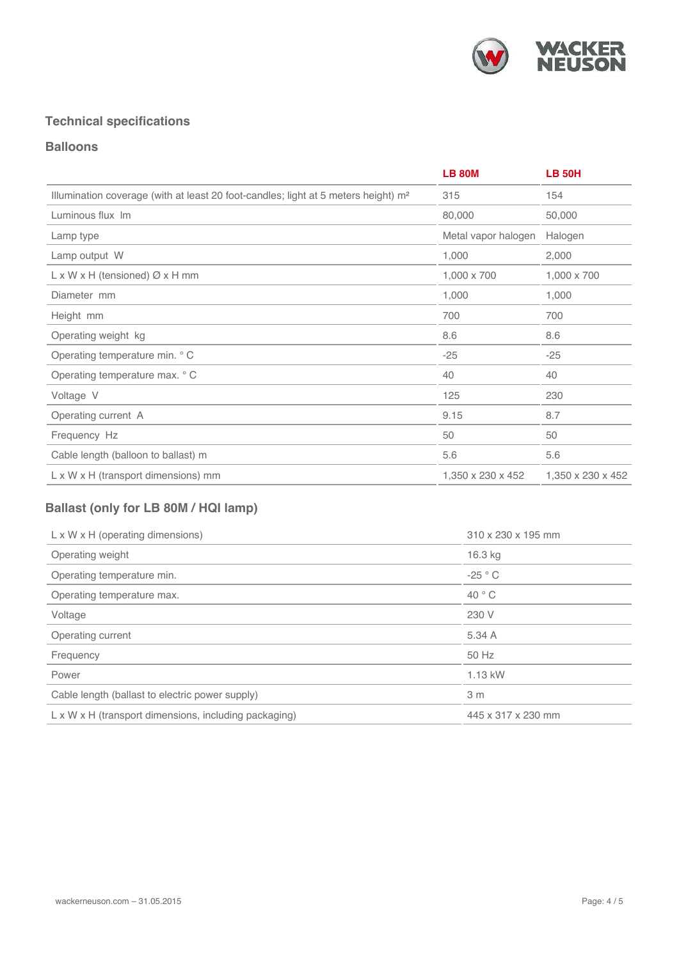

## **Technical specifications**

### **Balloons**

|                                                                                                | <b>LB 80M</b>       | <b>LB 50H</b>     |
|------------------------------------------------------------------------------------------------|---------------------|-------------------|
| Illumination coverage (with at least 20 foot-candles; light at 5 meters height) m <sup>2</sup> | 315                 | 154               |
| Luminous flux Im                                                                               | 80,000              | 50,000            |
| Lamp type                                                                                      | Metal vapor halogen | Halogen           |
| Lamp output W                                                                                  | 1,000               | 2,000             |
| $L \times W \times H$ (tensioned) $Ø \times H$ mm                                              | 1,000 x 700         | 1,000 x 700       |
| Diameter mm                                                                                    | 1,000               | 1,000             |
| Height mm                                                                                      | 700                 | 700               |
| Operating weight kg                                                                            | 8.6                 | 8.6               |
| Operating temperature min. ° C                                                                 | $-25$               | $-25$             |
| Operating temperature max. ° C                                                                 | 40                  | 40                |
| Voltage V                                                                                      | 125                 | 230               |
| Operating current A                                                                            | 9.15                | 8.7               |
| Frequency Hz                                                                                   | 50                  | 50                |
| Cable length (balloon to ballast) m                                                            | 5.6                 | 5.6               |
| $L \times W \times H$ (transport dimensions) mm                                                | 1,350 x 230 x 452   | 1,350 x 230 x 452 |

# **Ballast (only for LB 80M / HQI lamp)**

| $L \times W \times H$ (operating dimensions)          | 310 x 230 x 195 mm |  |
|-------------------------------------------------------|--------------------|--|
| Operating weight                                      | 16.3 kg            |  |
| Operating temperature min.                            | $-25 °C$           |  |
| Operating temperature max.                            | $40^{\circ}$ C     |  |
| Voltage                                               | 230 V              |  |
| Operating current                                     | 5.34 A             |  |
| Frequency                                             | 50 Hz              |  |
| Power                                                 | 1.13 kW            |  |
| Cable length (ballast to electric power supply)       | 3 <sub>m</sub>     |  |
| L x W x H (transport dimensions, including packaging) | 445 x 317 x 230 mm |  |